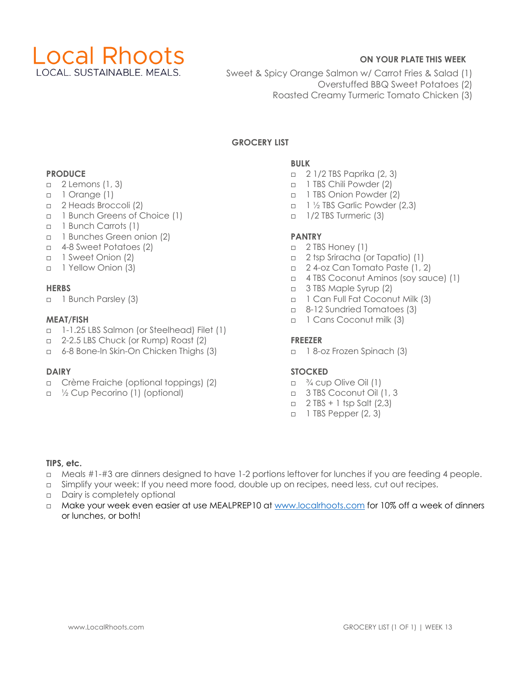

# **ON YOUR PLATE THIS WEEK**

- Sweet & Spicy Orange Salmon w/ Carrot Fries & Salad (1)
	- Overstuffed BBQ Sweet Potatoes (2)
	- Roasted Creamy Turmeric Tomato Chicken (3)

# **GROCERY LIST**

#### **PRODUCE**

- □ 2 Lemons (1, 3)
- □ 1 Orange (1)
- □ 2 Heads Broccoli (2)
- □ 1 Bunch Greens of Choice (1)
- □ 1 Bunch Carrots (1)
- □ 1 Bunches Green onion (2)
- □ 4-8 Sweet Potatoes (2)
- □ 1 Sweet Onion (2)
- □ 1 Yellow Onion (3)

#### **HERBS**

□ 1 Bunch Parsley (3)

#### **MEAT/FISH**

- □ 1-1.25 LBS Salmon (or Steelhead) Filet (1)
- □ 2-2.5 LBS Chuck (or Rump) Roast (2)
- □ 6-8 Bone-In Skin-On Chicken Thighs (3)

#### **DAIRY**

- □ Crème Fraiche (optional toppings) (2)
- □ ½ Cup Pecorino (1) (optional)

### **BULK**

- □ 2 1/2 TBS Paprika (2, 3)
- □ 1 TBS Chili Powder (2)
- □ 1 TBS Onion Powder (2)
- □ 1 ½ TBS Garlic Powder (2,3)
- □ 1/2 TBS Turmeric (3)

#### **PANTRY**

- □ 2 TBS Honey (1)
- □ 2 tsp Sriracha (or Tapatio) (1)
- □ 2 4-oz Can Tomato Paste (1, 2)
- □ 4 TBS Coconut Aminos (soy sauce) (1)
- □ 3 TBS Maple Syrup (2)
- □ 1 Can Full Fat Coconut Milk (3)
- □ 8-12 Sundried Tomatoes (3)
- □ 1 Cans Coconut milk (3)

#### **FREEZER**

□ 1 8-oz Frozen Spinach (3)

#### **STOCKED**

- $\Box$   $\frac{3}{4}$  cup Olive Oil (1)
- □ 3 TBS Coconut Oil (1, 3
- $\Box$  2 TBS + 1 tsp Salt (2,3)
- □ 1 TBS Pepper (2, 3)

#### **TIPS, etc.**

- □ Meals #1-#3 are dinners designed to have 1-2 portions leftover for lunches if you are feeding 4 people.
- □ Simplify your week: If you need more food, double up on recipes, need less, cut out recipes.
- □ Dairy is completely optional
- □ Make your week even easier at use MEALPREP10 at www.localrhoots.com for 10% off a week of dinners or lunches, or both!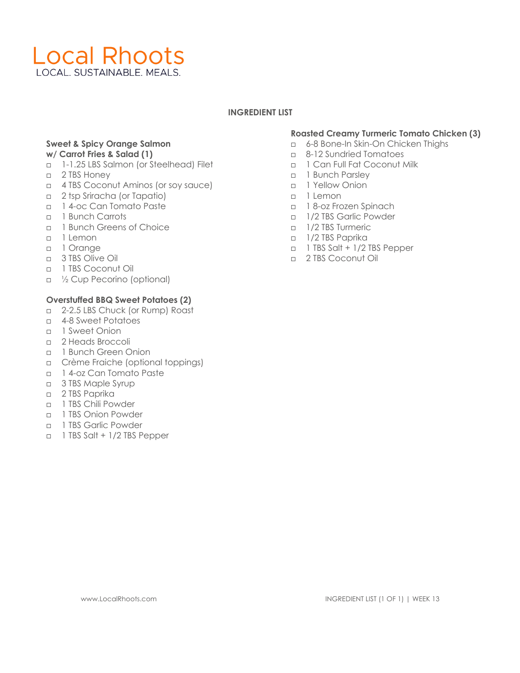# **Local Rhoots** LOCAL, SUSTAINABLE, MEALS.

#### **INGREDIENT LIST**

#### **Sweet & Spicy Orange Salmon w/ Carrot Fries & Salad (1)**

- □ 1-1.25 LBS Salmon (or Steelhead) Filet
- n 2 TBS Honey
- □ 4 TBS Coconut Aminos (or soy sauce)
- □ 2 tsp Sriracha (or Tapatio)
- □ 1 4-oc Can Tomato Paste
- □ 1 Bunch Carrots
- □ 1 Bunch Greens of Choice
- □ 1 Lemon
- □ 1 Orange
- □ 3 TBS Olive Oil
- □ 1 TBS Coconut Oil
- □ ½ Cup Pecorino (optional)

#### **Overstuffed BBQ Sweet Potatoes (2)**

- □ 2-2.5 LBS Chuck (or Rump) Roast
- □ 4-8 Sweet Potatoes
- □ 1 Sweet Onion
- □ 2 Heads Broccoli
- n 1 Bunch Green Onion
- □ Crème Fraiche (optional toppings)
- □ 1 4-oz Can Tomato Paste
- □ 3 TBS Maple Syrup
- □ 2 TBS Paprika
- □ 1 TBS Chili Powder
- □ 1 TBS Onion Powder
- □ 1 TBS Garlic Powder
- □ 1 TBS Salt + 1/2 TBS Pepper

# **Roasted Creamy Turmeric Tomato Chicken (3)**

- □ 6-8 Bone-In Skin-On Chicken Thighs
- □ 8-12 Sundried Tomatoes
- □ 1 Can Full Fat Coconut Milk
- n 1 Bunch Parsley
- □ 1 Yellow Onion
- □ 1 Lemon
- □ 1 8-oz Frozen Spinach
- □ 1/2 TBS Garlic Powder
- n 1/2 TBS Turmeric
- □ 1/2 TBS Paprika
- □ 1 TBS Salt + 1/2 TBS Pepper
- □ 2 TBS Coconut Oil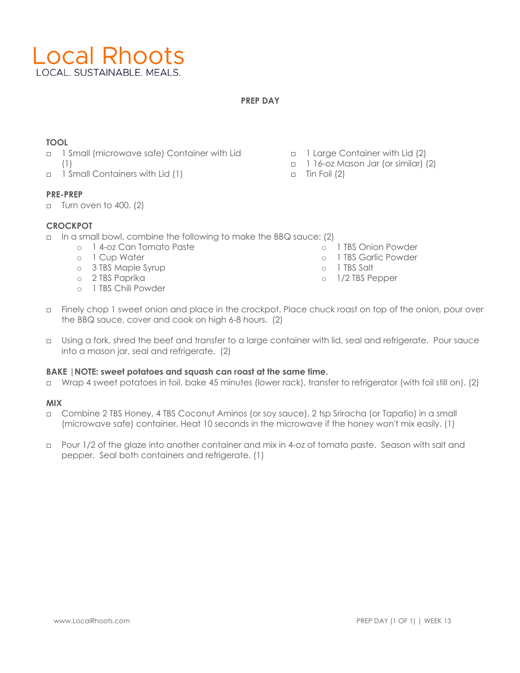

## **PREP DAY**

# **TOOL**

- □ 1 Small (microwave safe) Container with Lid (1)
- □ 1 Small Containers with Lid (1)

# **PRE-PREP**

 $\Box$  Turn oven to 400. (2)

# **CROCKPOT**

- □ In a small bowl, combine the following to make the BBQ sauce: (2) o 1 TBS Onion Powder
	- o 1 4-oz Can Tomato Paste
	- o 1 Cup Water
	- o 3 TBS Maple Syrup
	- o 2 TBS Paprika
	- o 1 TBS Chili Powder
- □ 1 Large Container with Lid (2)
	- □ 1 16-oz Mason Jar (or similar) (2)

o 1 TBS Garlic Powder

o 1 TBS Salt o 1/2 TBS Pepper

 $\Box$  Tin Foil (2)

- □ Finely chop 1 sweet onion and place in the crockpot. Place chuck roast on top of the onion, pour over the BBQ sauce, cover and cook on high 6-8 hours. (2)
- □ Using a fork, shred the beef and transfer to a large container with lid, seal and refrigerate. Pour sauce into a mason jar, seal and refrigerate. (2)

#### **BAKE |NOTE: sweet potatoes and squash can roast at the same time.**

□ Wrap 4 sweet potatoes in foil, bake 45 minutes (lower rack), transfer to refrigerator (with foil still on). (2)

#### **MIX**

- □ Combine 2 TBS Honey, 4 TBS Coconut Aminos (or soy sauce), 2 tsp Sriracha (or Tapatio) in a small (microwave safe) container. Heat 10 seconds in the microwave if the honey won't mix easily. (1)
- □ Pour 1/2 of the glaze into another container and mix in 4-oz of tomato paste. Season with salt and pepper. Seal both containers and refrigerate. (1)